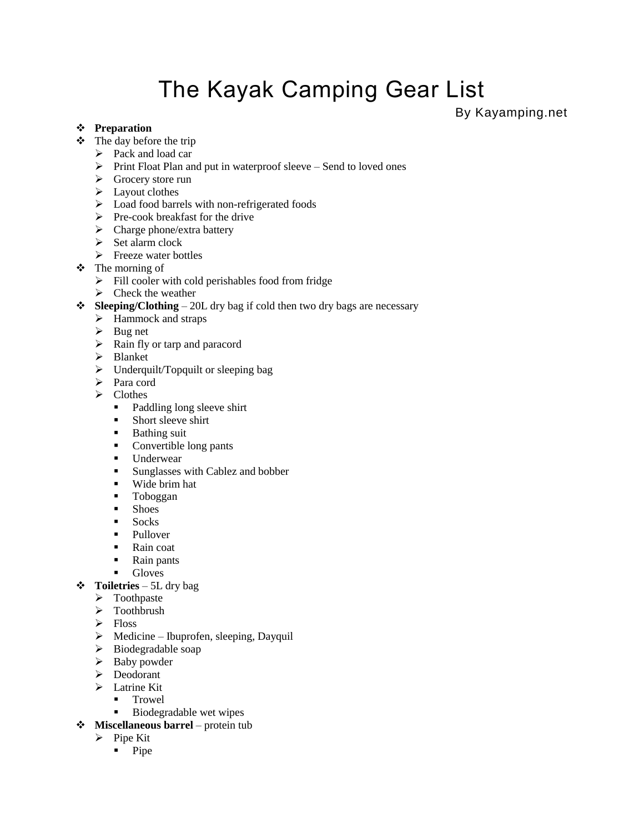# The Kayak Camping Gear List

By Kayamping.net

#### **Preparation**

- $\div$  The day before the trip
	- $\triangleright$  Pack and load car
	- $\triangleright$  Print Float Plan and put in waterproof sleeve Send to loved ones
	- ▶ Grocery store run
	- $\blacktriangleright$  Layout clothes
	- $\triangleright$  Load food barrels with non-refrigerated foods
	- $\triangleright$  Pre-cook breakfast for the drive
	- $\triangleright$  Charge phone/extra battery
	- $\triangleright$  Set alarm clock
	- $\triangleright$  Freeze water bottles
- The morning of
	- $\triangleright$  Fill cooler with cold perishables food from fridge
	- $\triangleright$  Check the weather
- **Sleeping/Clothing** 20L dry bag if cold then two dry bags are necessary
	- $\blacktriangleright$  Hammock and straps
	- $\triangleright$  Bug net
	- $\triangleright$  Rain fly or tarp and paracord
	- > Blanket
	- $\triangleright$  Underquilt/Topquilt or sleeping bag
	- > Para cord
	- $\triangleright$  Clothes
		- Paddling long sleeve shirt
		- **Short sleeve shirt**
		- **Bathing suit**
		- Convertible long pants
		- **Underwear**
		- **Sunglasses with Cablez and bobber**
		- Wide brim hat
		- **Toboggan**
		- **Shoes**
		- **Socks**
		- Pullover
		- Rain coat
		- **Rain pants**
		- **Gloves**
- **Toiletries** 5L dry bag
	- > Toothpaste
	- $\triangleright$  Toothbrush
	- > Floss
	- $\triangleright$  Medicine Ibuprofen, sleeping, Dayquil
	- > Biodegradable soap
	- $\triangleright$  Baby powder
	- > Deodorant
	- > Latrine Kit
		- **Trowel**
		- Biodegradable wet wipes
- **Miscellaneous barrel** protein tub
	- $\triangleright$  Pipe Kit
		- $\n **Pipe**\n$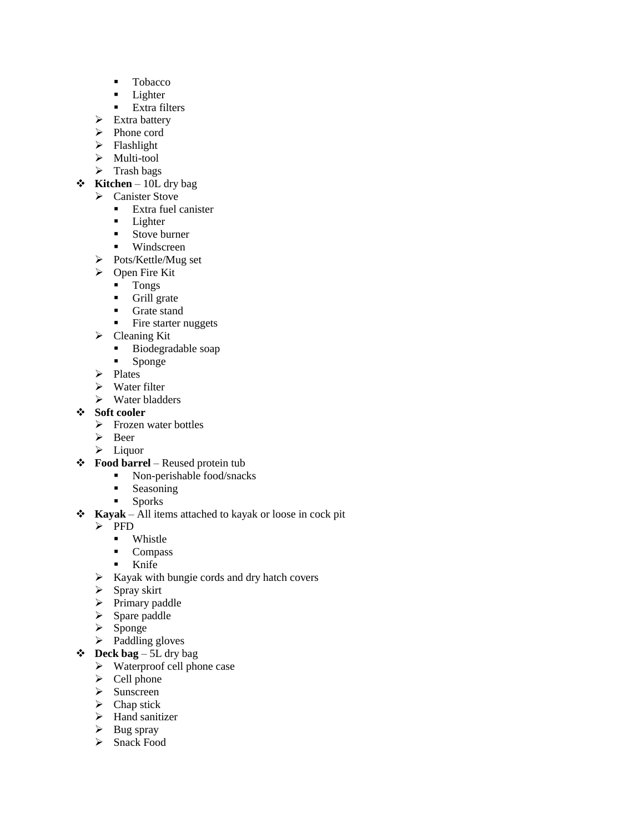- **Tobacco**
- **Lighter**
- **Extra filters**
- $\triangleright$  Extra battery
- > Phone cord
- $\triangleright$  Flashlight
- $\triangleright$  Multi-tool
- $\triangleright$  Trash bags
- **Kitchen** 10L dry bag
	- > Canister Stove
		- **Extra fuel canister**
		- **Lighter**
		- **Stove burner**
		- **Windscreen**
	- > Pots/Kettle/Mug set
	- $\triangleright$  Open Fire Kit
		- Tongs
		- **Grill** grate
		- **Grate stand**
		- Fire starter nuggets
	- $\triangleright$  Cleaning Kit
		- **Biodegradable soap**
		- **Sponge**
	- $\triangleright$  Plates
	- $\triangleright$  Water filter
	- $\triangleright$  Water bladders

### **Soft cooler**

- $\triangleright$  Frozen water bottles
- Beer
- $\blacktriangleright$  Liquor
- **Food barrel** Reused protein tub
	- Non-perishable food/snacks
	- **Seasoning**
	- **Sporks**
- **Kayak** All items attached to kayak or loose in cock pit
	- $\triangleright$  PFD
		- Whistle<br>• Compas
		- Compass
		- **Knife**
	- $\triangleright$  Kayak with bungie cords and dry hatch covers
	- $\triangleright$  Spray skirt
	- $\triangleright$  Primary paddle
	- $\triangleright$  Spare paddle
	- $\triangleright$  Sponge
	- $\triangleright$  Paddling gloves
- $\div$  **Deck bag** 5L dry bag
	- $\triangleright$  Waterproof cell phone case
	- $\triangleright$  Cell phone
	- $\triangleright$  Sunscreen
	- $\triangleright$  Chap stick
	- > Hand sanitizer
	- $\triangleright$  Bug spray
	- > Snack Food